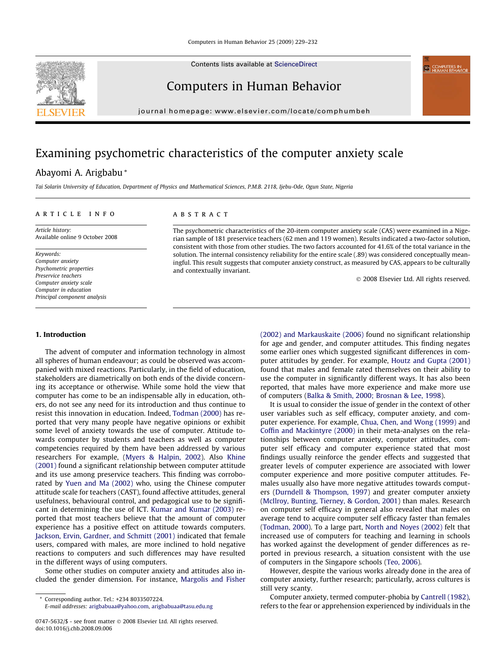Contents lists available at [ScienceDirect](http://www.sciencedirect.com/science/journal/07475632)

## Computers in Human Behavior

journal homepage: [www.elsevier.com/locate/comphumbeh](http://www.elsevier.com/locate/comphumbeh)

## Examining psychometric characteristics of the computer anxiety scale

### Abayomi A. Arigbabu \*

Tai Solarin University of Education, Department of Physics and Mathematical Sciences, P.M.B. 2118, Ijebu-Ode, Ogun State, Nigeria

#### article info

Article history: Available online 9 October 2008

Keywords: Computer anxiety Psychometric properties Preservice teachers Computer anxiety scale Computer in education Principal component analysis

#### 1. Introduction

The advent of computer and information technology in almost all spheres of human endeavour; as could be observed was accompanied with mixed reactions. Particularly, in the field of education, stakeholders are diametrically on both ends of the divide concerning its acceptance or otherwise. While some hold the view that computer has come to be an indispensable ally in education, others, do not see any need for its introduction and thus continue to resist this innovation in education. Indeed, [Todman \(2000\)](#page--1-0) has reported that very many people have negative opinions or exhibit some level of anxiety towards the use of computer. Attitude towards computer by students and teachers as well as computer competencies required by them have been addressed by various researchers For example, [\(Myers & Halpin, 2002](#page--1-0)). Also [Khine](#page--1-0) [\(2001\)](#page--1-0) found a significant relationship between computer attitude and its use among preservice teachers. This finding was corroborated by [Yuen and Ma \(2002\)](#page--1-0) who, using the Chinese computer attitude scale for teachers (CAST), found affective attitudes, general usefulness, behavioural control, and pedagogical use to be significant in determining the use of ICT. [Kumar and Kumar \(2003\)](#page--1-0) reported that most teachers believe that the amount of computer experience has a positive effect on attitude towards computers. [Jackson, Ervin, Gardner, and Schmitt \(2001\)](#page--1-0) indicated that female users, compared with males, are more inclined to hold negative reactions to computers and such differences may have resulted in the different ways of using computers.

Some other studies on computer anxiety and attitudes also included the gender dimension. For instance, [Margolis and Fisher](#page--1-0)

#### **ABSTRACT**

The psychometric characteristics of the 20-item computer anxiety scale (CAS) were examined in a Nigerian sample of 181 preservice teachers (62 men and 119 women). Results indicated a two-factor solution, consistent with those from other studies. The two factors accounted for 41.6% of the total variance in the solution. The internal consistency reliability for the entire scale (.89) was considered conceptually meaningful. This result suggests that computer anxiety construct, as measured by CAS, appears to be culturally and contextually invariant.

- 2008 Elsevier Ltd. All rights reserved.

[\(2002\) and Markauskaite \(2006\)](#page--1-0) found no significant relationship for age and gender, and computer attitudes. This finding negates some earlier ones which suggested significant differences in computer attitudes by gender. For example, [Houtz and Gupta \(2001\)](#page--1-0) found that males and female rated themselves on their ability to use the computer in significantly different ways. It has also been reported, that males have more experience and make more use of computers [\(Balka & Smith, 2000; Brosnan & Lee, 1998\)](#page--1-0).

It is usual to consider the issue of gender in the context of other user variables such as self efficacy, computer anxiety, and computer experience. For example, [Chua, Chen, and Wong \(1999\)](#page--1-0) and [Coffin and Mackintyre \(2000\)](#page--1-0) in their meta-analyses on the relationships between computer anxiety, computer attitudes, computer self efficacy and computer experience stated that most findings usually reinforce the gender effects and suggested that greater levels of computer experience are associated with lower computer experience and more positive computer attitudes. Females usually also have more negative attitudes towards computers [\(Durndell & Thompson, 1997\)](#page--1-0) and greater computer anxiety ([McIlroy, Bunting, Tierney, & Gordon, 2001](#page--1-0)) than males. Research on computer self efficacy in general also revealed that males on average tend to acquire computer self efficacy faster than females ([Todman, 2000\)](#page--1-0). To a large part, [North and Noyes \(2002\)](#page--1-0) felt that increased use of computers for teaching and learning in schools has worked against the development of gender differences as reported in previous research, a situation consistent with the use of computers in the Singapore schools ([Teo, 2006\)](#page--1-0).

However, despite the various works already done in the area of computer anxiety, further research; particularly, across cultures is still very scanty.

Computer anxiety, termed computer-phobia by [Cantrell \(1982\),](#page--1-0) refers to the fear or apprehension experienced by individuals in the



Corresponding author. Tel.: +234 8033507224.

E-mail addresses: [arigbabuaa@yahoo.com,](mailto:arigbabuaa@yahoo.com) [arigbabuaa@tasu.edu.ng](mailto:arigbabuaa@tasu.edu.ng)

<sup>0747-5632/\$ -</sup> see front matter © 2008 Elsevier Ltd. All rights reserved. doi:10.1016/j.chb.2008.09.006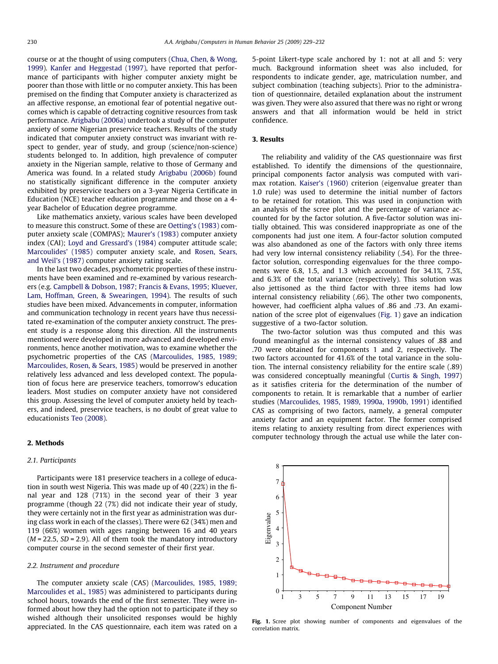course or at the thought of using computers ([Chua, Chen, & Wong,](#page--1-0) [1999\)](#page--1-0). [Kanfer and Heggestad \(1997\),](#page--1-0) have reported that performance of participants with higher computer anxiety might be poorer than those with little or no computer anxiety. This has been premised on the finding that Computer anxiety is characterized as an affective response, an emotional fear of potential negative outcomes which is capable of detracting cognitive resources from task performance. [Arigbabu \(2006a\)](#page--1-0) undertook a study of the computer anxiety of some Nigerian preservice teachers. Results of the study indicated that computer anxiety construct was invariant with respect to gender, year of study, and group (science/non-science) students belonged to. In addition, high prevalence of computer anxiety in the Nigerian sample, relative to those of Germany and America was found. In a related study [Arigbabu \(2006b\)](#page--1-0) found no statistically significant difference in the computer anxiety exhibited by preservice teachers on a 3-year Nigeria Certificate in Education (NCE) teacher education programme and those on a 4 year Bachelor of Education degree programme.

Like mathematics anxiety, various scales have been developed to measure this construct. Some of these are [Oetting's \(1983\)](#page--1-0) computer anxiety scale (COMPAS); [Maurer's \(1983\)](#page--1-0) computer anxiety index (CAI); [Loyd and Gressard's \(1984\)](#page--1-0) computer attitude scale; [Marcoulides' \(1985\)](#page--1-0) computer anxiety scale, and [Rosen, Sears,](#page--1-0) [and Weil's \(1987\)](#page--1-0) computer anxiety rating scale.

In the last two decades, psychometric properties of these instruments have been examined and re-examined by various researchers (e.g. [Campbell & Dobson, 1987; Francis & Evans, 1995; Kluever,](#page--1-0) [Lam, Hoffman, Green, & Swearingen, 1994\)](#page--1-0). The results of such studies have been mixed. Advancements in computer, information and communication technology in recent years have thus necessitated re-examination of the computer anxiety construct. The present study is a response along this direction. All the instruments mentioned were developed in more advanced and developed environments, hence another motivation, was to examine whether the psychometric properties of the CAS [\(Marcoulides, 1985, 1989;](#page--1-0) [Marcoulides, Rosen, & Sears, 1985\)](#page--1-0) would be preserved in another relatively less advanced and less developed context. The population of focus here are preservice teachers, tomorrow's education leaders. Most studies on computer anxiety have not considered this group. Assessing the level of computer anxiety held by teachers, and indeed, preservice teachers, is no doubt of great value to educationists [Teo \(2008\)](#page--1-0).

#### 2. Methods

#### 2.1. Participants

Participants were 181 preservice teachers in a college of education in south west Nigeria. This was made up of 40 (22%) in the final year and 128 (71%) in the second year of their 3 year programme (though 22 (7%) did not indicate their year of study, they were certainly not in the first year as administration was during class work in each of the classes). There were 62 (34%) men and 119 (66%) women with ages ranging between 16 and 40 years  $(M = 22.5, SD = 2.9)$ . All of them took the mandatory introductory computer course in the second semester of their first year.

#### 2.2. Instrument and procedure

The computer anxiety scale (CAS) ([Marcoulides, 1985, 1989;](#page--1-0) [Marcoulides et al., 1985](#page--1-0)) was administered to participants during school hours, towards the end of the first semester. They were informed about how they had the option not to participate if they so wished although their unsolicited responses would be highly appreciated. In the CAS questionnaire, each item was rated on a 5-point Likert-type scale anchored by 1: not at all and 5: very much. Background information sheet was also included, for respondents to indicate gender, age, matriculation number, and subject combination (teaching subjects). Prior to the administration of questionnaire, detailed explanation about the instrument was given. They were also assured that there was no right or wrong answers and that all information would be held in strict confidence.

#### 3. Results

The reliability and validity of the CAS questionnaire was first established. To identify the dimensions of the questionnaire, principal components factor analysis was computed with varimax rotation. [Kaiser's \(1960\)](#page--1-0) criterion (eigenvalue greater than 1.0 rule) was used to determine the initial number of factors to be retained for rotation. This was used in conjunction with an analysis of the scree plot and the percentage of variance accounted for by the factor solution. A five-factor solution was initially obtained. This was considered inappropriate as one of the components had just one item. A four-factor solution computed was also abandoned as one of the factors with only three items had very low internal consistency reliability (.54). For the threefactor solution, corresponding eigenvalues for the three components were 6.8, 1.5, and 1.3 which accounted for 34.1%, 7.5%, and 6.3% of the total variance (respectively). This solution was also jettisoned as the third factor with three items had low internal consistency reliability (.66). The other two components, however, had coefficient alpha values of .86 and .73. An examination of the scree plot of eigenvalues (Fig. 1) gave an indication suggestive of a two-factor solution.

The two-factor solution was thus computed and this was found meaningful as the internal consistency values of .88 and .70 were obtained for components 1 and 2, respectively. The two factors accounted for 41.6% of the total variance in the solution. The internal consistency reliability for the entire scale (.89) was considered conceptually meaningful ([Curtis & Singh, 1997\)](#page--1-0) as it satisfies criteria for the determination of the number of components to retain. It is remarkable that a number of earlier studies ([Marcoulides, 1985, 1989, 1990a, 1990b, 1991](#page--1-0)) identified CAS as comprising of two factors, namely, a general computer anxiety factor and an equipment factor. The former comprised items relating to anxiety resulting from direct experiences with computer technology through the actual use while the later con-



Fig. 1. Scree plot showing number of components and eigenvalues of the correlation matrix.